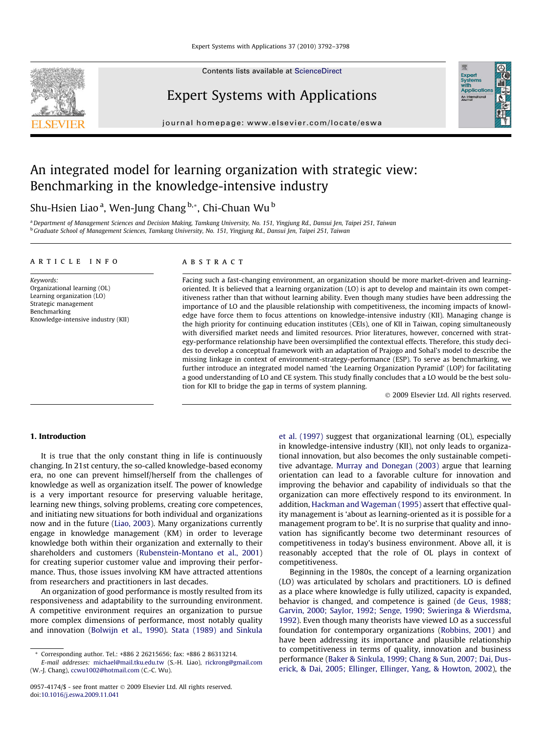Contents lists available at [ScienceDirect](http://www.sciencedirect.com/science/journal/09574174)

## Expert Systems with Applications

journal homepage: [www.elsevier.com/locate/eswa](http://www.elsevier.com/locate/eswa)

### An integrated model for learning organization with strategic view: Benchmarking in the knowledge-intensive industry

### Shu-Hsien Liao <sup>a</sup>, Wen-Jung Chang <sup>b,</sup>\*, Chi-Chuan Wu <sup>b</sup>

a Department of Management Sciences and Decision Making, Tamkang University, No. 151, Yingjung Rd., Dansui Jen, Taipei 251, Taiwan <sup>b</sup> Graduate School of Management Sciences, Tamkang University, No. 151, Yingjung Rd., Dansui Jen, Taipei 251, Taiwan

#### article info

Keywords: Organizational learning (OL) Learning organization (LO) Strategic management Benchmarking Knowledge-intensive industry (KII)

#### ABSTRACT

Facing such a fast-changing environment, an organization should be more market-driven and learningoriented. It is believed that a learning organization (LO) is apt to develop and maintain its own competitiveness rather than that without learning ability. Even though many studies have been addressing the importance of LO and the plausible relationship with competitiveness, the incoming impacts of knowledge have force them to focus attentions on knowledge-intensive industry (KII). Managing change is the high priority for continuing education institutes (CEIs), one of KII in Taiwan, coping simultaneously with diversified market needs and limited resources. Prior literatures, however, concerned with strategy-performance relationship have been oversimplified the contextual effects. Therefore, this study decides to develop a conceptual framework with an adaptation of Prajogo and Sohal's model to describe the missing linkage in context of environment-strategy-performance (ESP). To serve as benchmarking, we further introduce an integrated model named 'the Learning Organization Pyramid' (LOP) for facilitating a good understanding of LO and CE system. This study finally concludes that a LO would be the best solution for KII to bridge the gap in terms of system planning.

- 2009 Elsevier Ltd. All rights reserved.

#### 1. Introduction

It is true that the only constant thing in life is continuously changing. In 21st century, the so-called knowledge-based economy era, no one can prevent himself/herself from the challenges of knowledge as well as organization itself. The power of knowledge is a very important resource for preserving valuable heritage, learning new things, solving problems, creating core competences, and initiating new situations for both individual and organizations now and in the future ([Liao, 2003\)](#page--1-0). Many organizations currently engage in knowledge management (KM) in order to leverage knowledge both within their organization and externally to their shareholders and customers ([Rubenstein-Montano et al., 2001\)](#page--1-0) for creating superior customer value and improving their performance. Thus, those issues involving KM have attracted attentions from researchers and practitioners in last decades.

An organization of good performance is mostly resulted from its responsiveness and adaptability to the surrounding environment. A competitive environment requires an organization to pursue more complex dimensions of performance, most notably quality and innovation ([Bolwijn et al., 1990\)](#page--1-0). [Stata \(1989\) and Sinkula](#page--1-0) [et al. \(1997\)](#page--1-0) suggest that organizational learning (OL), especially in knowledge-intensive industry (KII), not only leads to organizational innovation, but also becomes the only sustainable competitive advantage. [Murray and Donegan \(2003\)](#page--1-0) argue that learning orientation can lead to a favorable culture for innovation and improving the behavior and capability of individuals so that the organization can more effectively respond to its environment. In addition, [Hackman and Wageman \(1995\)](#page--1-0) assert that effective quality management is 'about as learning-oriented as it is possible for a management program to be'. It is no surprise that quality and innovation has significantly become two determinant resources of competitiveness in today's business environment. Above all, it is reasonably accepted that the role of OL plays in context of competitiveness.

Beginning in the 1980s, the concept of a learning organization (LO) was articulated by scholars and practitioners. LO is defined as a place where knowledge is fully utilized, capacity is expanded, behavior is changed, and competence is gained ([de Geus, 1988;](#page--1-0) [Garvin, 2000; Saylor, 1992; Senge, 1990; Swieringa & Wierdsma,](#page--1-0) [1992\)](#page--1-0). Even though many theorists have viewed LO as a successful foundation for contemporary organizations ([Robbins, 2001\)](#page--1-0) and have been addressing its importance and plausible relationship to competitiveness in terms of quality, innovation and business performance ([Baker & Sinkula, 1999; Chang & Sun, 2007; Dai, Dus](#page--1-0)[erick, & Dai, 2005; Ellinger, Ellinger, Yang, & Howton, 2002](#page--1-0)), the





<sup>\*</sup> Corresponding author. Tel.: +886 2 26215656; fax: +886 2 86313214.

E-mail addresses: [michael@mail.tku.edu.tw](mailto:michael@mail.tku.edu.tw) (S.-H. Liao), [rickrong@gmail.com](mailto:rickrong@gmail.com) (W.-J. Chang), [ccwu1002@hotmail.com](mailto:ccwu1002@hotmail.com) (C.-C. Wu).

<sup>0957-4174/\$ -</sup> see front matter © 2009 Elsevier Ltd. All rights reserved. doi:[10.1016/j.eswa.2009.11.041](http://dx.doi.org/10.1016/j.eswa.2009.11.041)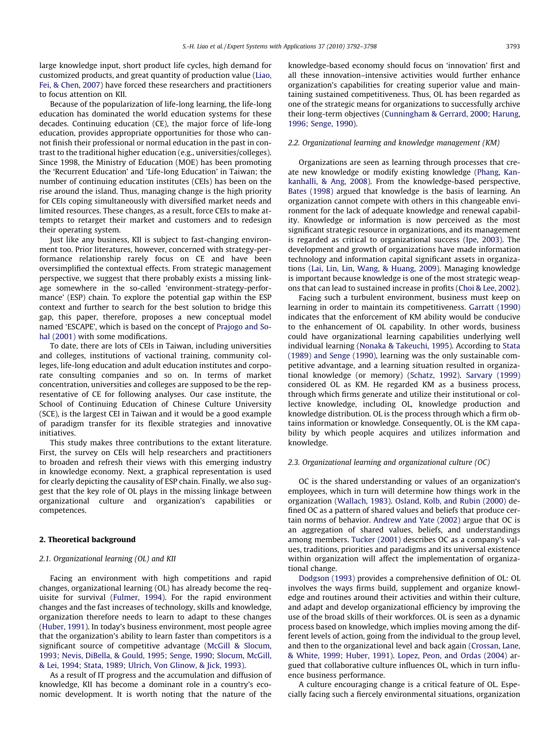large knowledge input, short product life cycles, high demand for customized products, and great quantity of production value [\(Liao,](#page--1-0) [Fei, & Chen, 2007](#page--1-0)) have forced these researchers and practitioners to focus attention on KII.

Because of the popularization of life-long learning, the life-long education has dominated the world education systems for these decades. Continuing education (CE), the major force of life-long education, provides appropriate opportunities for those who cannot finish their professional or normal education in the past in contrast to the traditional higher education (e.g., universities/colleges). Since 1998, the Ministry of Education (MOE) has been promoting the 'Recurrent Education' and 'Life-long Education' in Taiwan; the number of continuing education institutes (CEIs) has been on the rise around the island. Thus, managing change is the high priority for CEIs coping simultaneously with diversified market needs and limited resources. These changes, as a result, force CEIs to make attempts to retarget their market and customers and to redesign their operating system.

Just like any business, KII is subject to fast-changing environment too. Prior literatures, however, concerned with strategy-performance relationship rarely focus on CE and have been oversimplified the contextual effects. From strategic management perspective, we suggest that there probably exists a missing linkage somewhere in the so-called 'environment-strategy-performance' (ESP) chain. To explore the potential gap within the ESP context and further to search for the best solution to bridge this gap, this paper, therefore, proposes a new conceptual model named 'ESCAPE', which is based on the concept of [Prajogo and So](#page--1-0)[hal \(2001\)](#page--1-0) with some modifications.

To date, there are lots of CEIs in Taiwan, including universities and colleges, institutions of vactional training, community colleges, life-long education and adult education institutes and corporate consulting companies and so on. In terms of market concentration, universities and colleges are supposed to be the representative of CE for following analyses. Our case institute, the School of Continuing Education of Chinese Culture University (SCE), is the largest CEI in Taiwan and it would be a good example of paradigm transfer for its flexible strategies and innovative initiatives.

This study makes three contributions to the extant literature. First, the survey on CEIs will help researchers and practitioners to broaden and refresh their views with this emerging industry in knowledge economy. Next, a graphical representation is used for clearly depicting the causality of ESP chain. Finally, we also suggest that the key role of OL plays in the missing linkage between organizational culture and organization's capabilities or competences.

#### 2. Theoretical background

#### 2.1. Organizational learning (OL) and KII

Facing an environment with high competitions and rapid changes, organizational learning (OL) has already become the requisite for survival [\(Fulmer, 1994](#page--1-0)). For the rapid environment changes and the fast increases of technology, skills and knowledge, organization therefore needs to learn to adapt to these changes ([Huber, 1991](#page--1-0)). In today's business environment, most people agree that the organization's ability to learn faster than competitors is a significant source of competitive advantage [\(McGill & Slocum,](#page--1-0) [1993; Nevis, DiBella, & Gould, 1995; Senge, 1990; Slocum, McGill,](#page--1-0) [& Lei, 1994; Stata, 1989; Ulrich, Von Glinow, & Jick, 1993](#page--1-0)).

As a result of IT progress and the accumulation and diffusion of knowledge, KII has become a dominant role in a country's economic development. It is worth noting that the nature of the

knowledge-based economy should focus on 'innovation' first and all these innovation–intensive activities would further enhance organization's capabilities for creating superior value and maintaining sustained competitiveness. Thus, OL has been regarded as one of the strategic means for organizations to successfully archive their long-term objectives ([Cunningham & Gerrard, 2000; Harung,](#page--1-0) [1996; Senge, 1990\)](#page--1-0).

#### 2.2. Organizational learning and knowledge management (KM)

Organizations are seen as learning through processes that create new knowledge or modify existing knowledge ([Phang, Kan](#page--1-0)[kanhalli, & Ang, 2008](#page--1-0)). From the knowledge-based perspective, [Bates \(1998\)](#page--1-0) argued that knowledge is the basis of learning. An organization cannot compete with others in this changeable environment for the lack of adequate knowledge and renewal capability. Knowledge or information is now perceived as the most significant strategic resource in organizations, and its management is regarded as critical to organizational success ([Ipe, 2003](#page--1-0)). The development and growth of organizations have made information technology and information capital significant assets in organizations ([Lai, Lin, Lin, Wang, & Huang, 2009](#page--1-0)). Managing knowledge is important because knowledge is one of the most strategic weapons that can lead to sustained increase in profits ([Choi & Lee, 2002\)](#page--1-0).

Facing such a turbulent environment, business must keep on learning in order to maintain its competitiveness. [Garratt \(1990\)](#page--1-0) indicates that the enforcement of KM ability would be conducive to the enhancement of OL capability. In other words, business could have organizational learning capabilities underlying well individual learning ([Nonaka & Takeuchi, 1995\)](#page--1-0). According to [Stata](#page--1-0) [\(1989\) and Senge \(1990\)](#page--1-0), learning was the only sustainable competitive advantage, and a learning situation resulted in organizational knowledge (or memory) ([Schatz, 1992](#page--1-0)). [Sarvary \(1999\)](#page--1-0) considered OL as KM. He regarded KM as a business process, through which firms generate and utilize their institutional or collective knowledge, including OL, knowledge production and knowledge distribution. OL is the process through which a firm obtains information or knowledge. Consequently, OL is the KM capability by which people acquires and utilizes information and knowledge.

#### 2.3. Organizational learning and organizational culture (OC)

OC is the shared understanding or values of an organization's employees, which in turn will determine how things work in the organization ([Wallach, 1983\)](#page--1-0). [Osland, Kolb, and Rubin \(2000\)](#page--1-0) defined OC as a pattern of shared values and beliefs that produce certain norms of behavior. [Andrew and Yate \(2002\)](#page--1-0) argue that OC is an aggregation of shared values, beliefs, and understandings among members. [Tucker \(2001\)](#page--1-0) describes OC as a company's values, traditions, priorities and paradigms and its universal existence within organization will affect the implementation of organizational change.

[Dodgson \(1993\)](#page--1-0) provides a comprehensive definition of OL: OL involves the ways firms build, supplement and organize knowledge and routines around their activities and within their culture, and adapt and develop organizational efficiency by improving the use of the broad skills of their workforces. OL is seen as a dynamic process based on knowledge, which implies moving among the different levels of action, going from the individual to the group level, and then to the organizational level and back again ([Crossan, Lane,](#page--1-0) [& White, 1999; Huber, 1991\)](#page--1-0). [Lopez, Peon, and Ordas \(2004\)](#page--1-0) argued that collaborative culture influences OL, which in turn influence business performance.

A culture encouraging change is a critical feature of OL. Especially facing such a fiercely environmental situations, organization